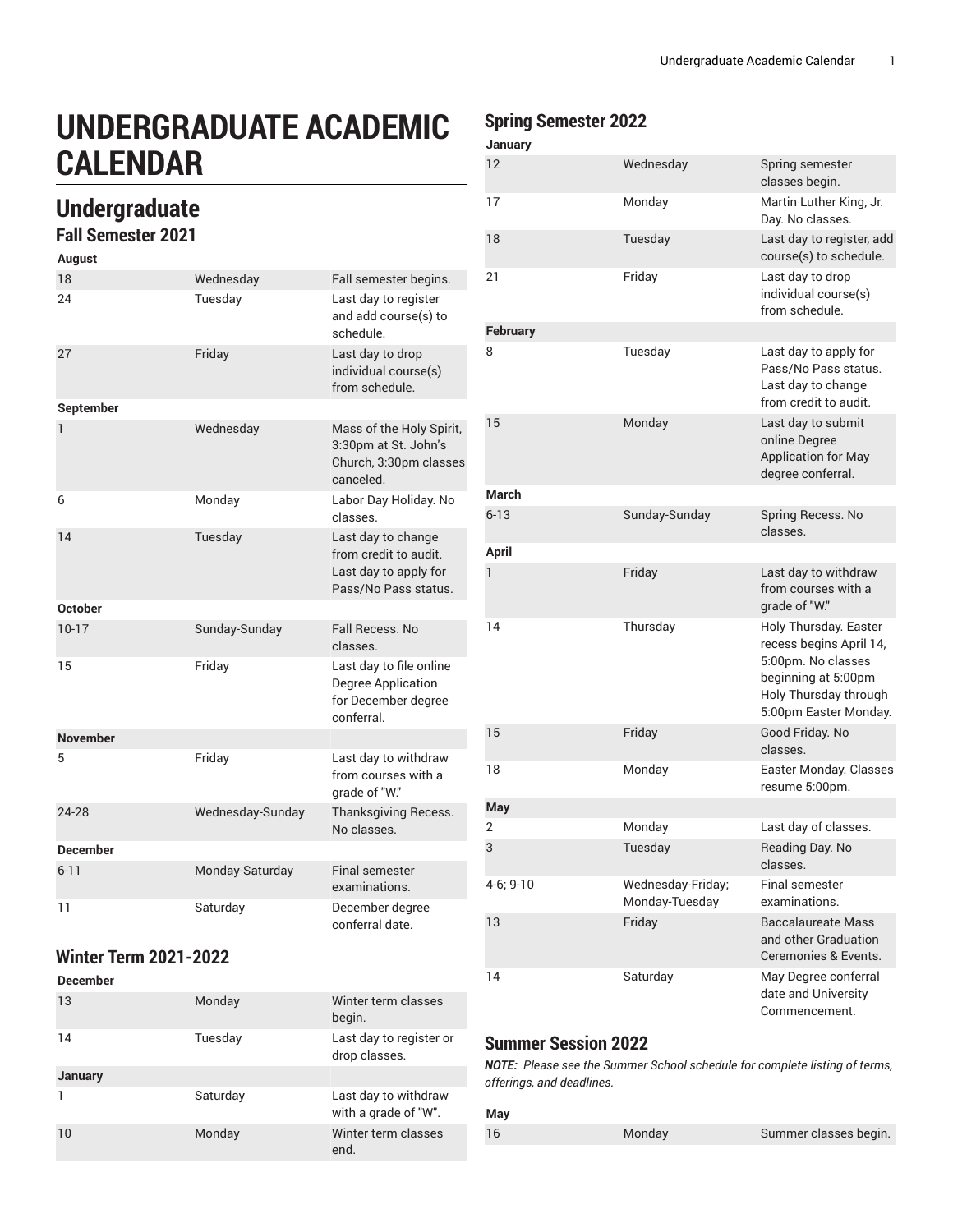# **UNDERGRADUATE ACADEMIC CALENDAR**

## **Undergraduate**

### **Fall Semester 2021**

| August          |                  |                                                                                              |
|-----------------|------------------|----------------------------------------------------------------------------------------------|
| 18              | Wednesday        | Fall semester begins.                                                                        |
| 24              | Tuesday          | Last day to register<br>and add course(s) to<br>schedule.                                    |
| 27              | Friday           | Last day to drop<br>individual course(s)<br>from schedule.                                   |
| September       |                  |                                                                                              |
| 1               | Wednesday        | Mass of the Holy Spirit,<br>3:30pm at St. John's<br>Church, 3:30pm classes<br>canceled.      |
| 6               | Monday           | Labor Day Holiday. No<br>classes.                                                            |
| 14              | Tuesday          | Last day to change<br>from credit to audit.<br>Last day to apply for<br>Pass/No Pass status. |
| <b>October</b>  |                  |                                                                                              |
| $10 - 17$       | Sunday-Sunday    | Fall Recess, No.<br>classes.                                                                 |
| 15              | Friday           | Last day to file online<br>Degree Application<br>for December degree<br>conferral.           |
| <b>November</b> |                  |                                                                                              |
| 5               | Friday           | Last day to withdraw<br>from courses with a<br>grade of "W."                                 |
| 24-28           | Wednesday-Sunday | <b>Thanksgiving Recess.</b><br>No classes.                                                   |
| <b>December</b> |                  |                                                                                              |
| $6 - 11$        | Monday-Saturday  | <b>Final semester</b><br>examinations.                                                       |
| 11              | Saturday         | December degree<br>conferral date.                                                           |

#### **Winter Term 2021-2022**

| <b>December</b> |          |                                              |
|-----------------|----------|----------------------------------------------|
| 13              | Monday   | Winter term classes<br>begin.                |
| 14              | Tuesday  | Last day to register or<br>drop classes.     |
| January         |          |                                              |
|                 | Saturday | Last day to withdraw<br>with a grade of "W". |
| 10              | Monday   | Winter term classes<br>end.                  |

#### **Spring Semester 2022**

| 12              | Wednesday                           | Spring semester<br>classes begin.                                                                                                               |
|-----------------|-------------------------------------|-------------------------------------------------------------------------------------------------------------------------------------------------|
| 17              | Monday                              | Martin Luther King, Jr.<br>Day. No classes.                                                                                                     |
| 18              | Tuesday                             | Last day to register, add<br>course(s) to schedule.                                                                                             |
| 21              | Friday                              | Last day to drop<br>individual course(s)<br>from schedule.                                                                                      |
| <b>February</b> |                                     |                                                                                                                                                 |
| 8               | Tuesday                             | Last day to apply for<br>Pass/No Pass status.<br>Last day to change<br>from credit to audit.                                                    |
| 15              | Monday                              | Last day to submit<br>online Degree<br><b>Application for May</b><br>degree conferral.                                                          |
| March           |                                     |                                                                                                                                                 |
| $6 - 13$        | Sunday-Sunday                       | Spring Recess. No<br>classes.                                                                                                                   |
| <b>April</b>    |                                     |                                                                                                                                                 |
| 1               | Friday                              | Last day to withdraw<br>from courses with a<br>grade of "W."                                                                                    |
| 14              | Thursday                            | Holy Thursday. Easter<br>recess begins April 14,<br>5:00pm. No classes<br>beginning at 5:00pm<br>Holy Thursday through<br>5:00pm Easter Monday. |
| 15              | Friday                              | Good Friday. No<br>classes.                                                                                                                     |
| 18              | Monday                              | Easter Monday. Classes<br>resume 5:00pm.                                                                                                        |
| <b>May</b>      |                                     |                                                                                                                                                 |
| 2               | Monday                              | Last day of classes.                                                                                                                            |
| 3               | Tuesday                             | Reading Day. No<br>classes.                                                                                                                     |
| 4-6; 9-10       | Wednesday-Friday;<br>Monday-Tuesday | Final semester<br>examinations.                                                                                                                 |
| 13              | Friday                              | <b>Baccalaureate Mass</b><br>and other Graduation<br>Ceremonies & Events.                                                                       |
| 14              | Saturday                            | May Degree conferral<br>date and University<br>Commencement.                                                                                    |

#### **Summer Session 2022**

*NOTE: Please see the Summer School schedule for complete listing of terms, offerings, and deadlines.*

#### **May**

16 Monday Summer classes begin.